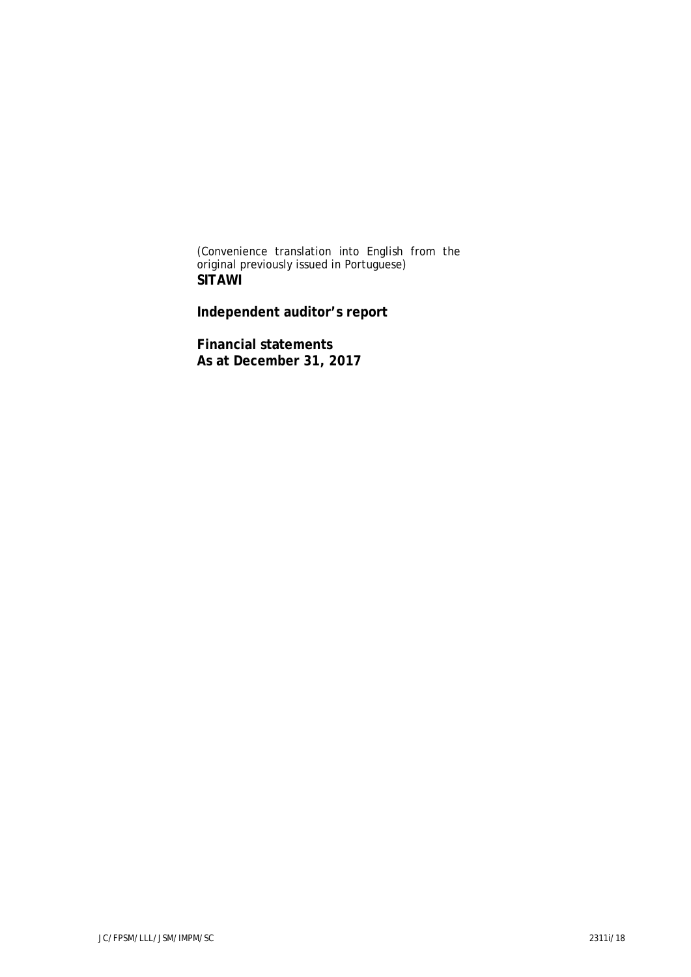(Convenience translation into English from the original previously issued in Portuguese) **SITAWI**

**Independent auditor's report**

**Financial statements As at December 31, 2017**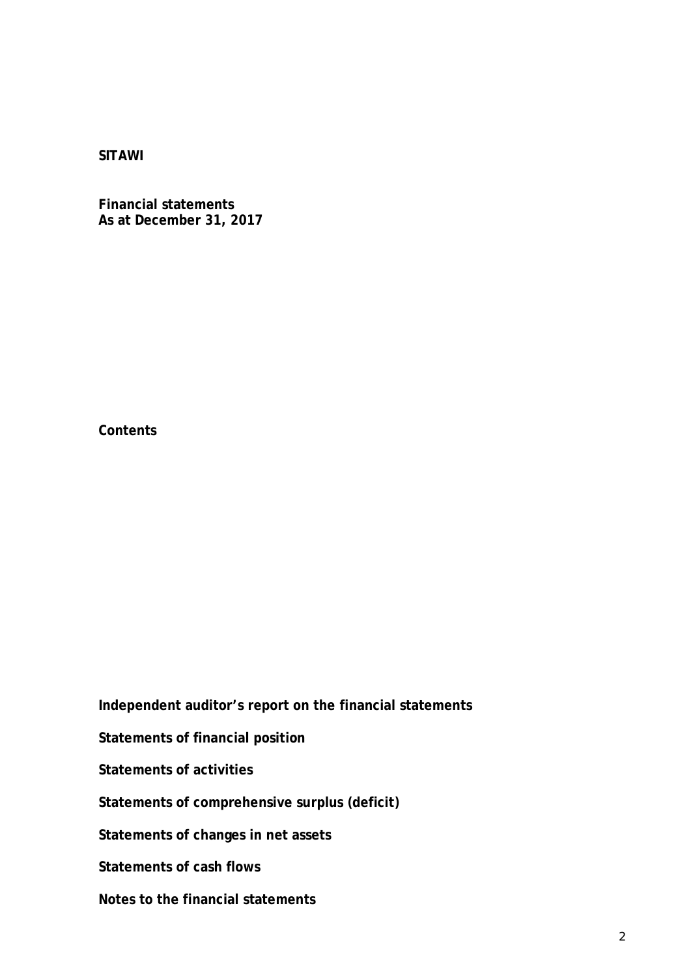**Financial statements As at December 31, 2017**

**Contents**

**Independent auditor's report on the financial statements**

**Statements of financial position**

**Statements of activities**

**Statements of comprehensive surplus (deficit)**

**Statements of changes in net assets**

**Statements of cash flows**

**Notes to the financial statements**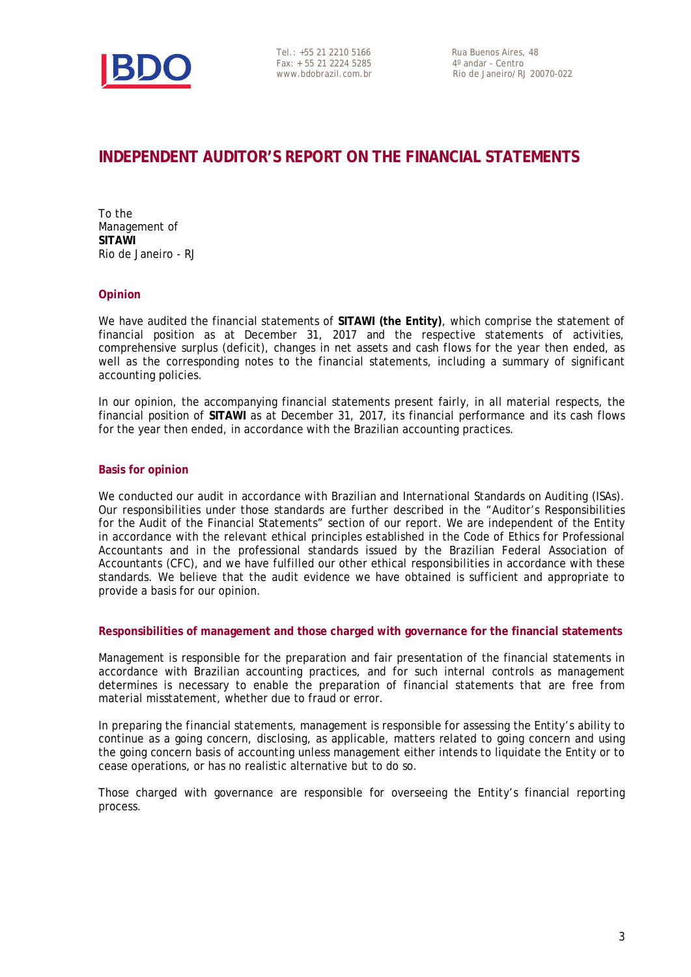

Tel.: +55 21 2210 5166 Rua Buenos Aires, 48<br>
Fax: + 55 21 2224 5285 4° andar - Centro Fax: + 55 21 2224 5285<br>www.bdobrazil.com.br

## **INDEPENDENT AUDITOR'S REPORT ON THE FINANCIAL STATEMENTS**

To the Management of **SITAWI** Rio de Janeiro - RJ

#### **Opinion**

We have audited the financial statements of **SITAWI (the Entity)**, which comprise the statement of financial position as at December 31, 2017 and the respective statements of activities, comprehensive surplus (deficit), changes in net assets and cash flows for the year then ended, as well as the corresponding notes to the financial statements, including a summary of significant accounting policies.

In our opinion, the accompanying financial statements present fairly, in all material respects, the financial position of **SITAWI** as at December 31, 2017, its financial performance and its cash flows for the year then ended, in accordance with the Brazilian accounting practices.

#### **Basis for opinion**

We conducted our audit in accordance with Brazilian and International Standards on Auditing (ISAs). Our responsibilities under those standards are further described in the "Auditor's Responsibilities for the Audit of the Financial Statements" section of our report. We are independent of the Entity in accordance with the relevant ethical principles established in the Code of Ethics for Professional Accountants and in the professional standards issued by the Brazilian Federal Association of Accountants (CFC), and we have fulfilled our other ethical responsibilities in accordance with these standards. We believe that the audit evidence we have obtained is sufficient and appropriate to provide a basis for our opinion.

#### **Responsibilities of management and those charged with governance for the financial statements**

Management is responsible for the preparation and fair presentation of the financial statements in accordance with Brazilian accounting practices, and for such internal controls as management determines is necessary to enable the preparation of financial statements that are free from material misstatement, whether due to fraud or error.

In preparing the financial statements, management is responsible for assessing the Entity's ability to continue as a going concern, disclosing, as applicable, matters related to going concern and using the going concern basis of accounting unless management either intends to liquidate the Entity or to cease operations, or has no realistic alternative but to do so.

Those charged with governance are responsible for overseeing the Entity's financial reporting process.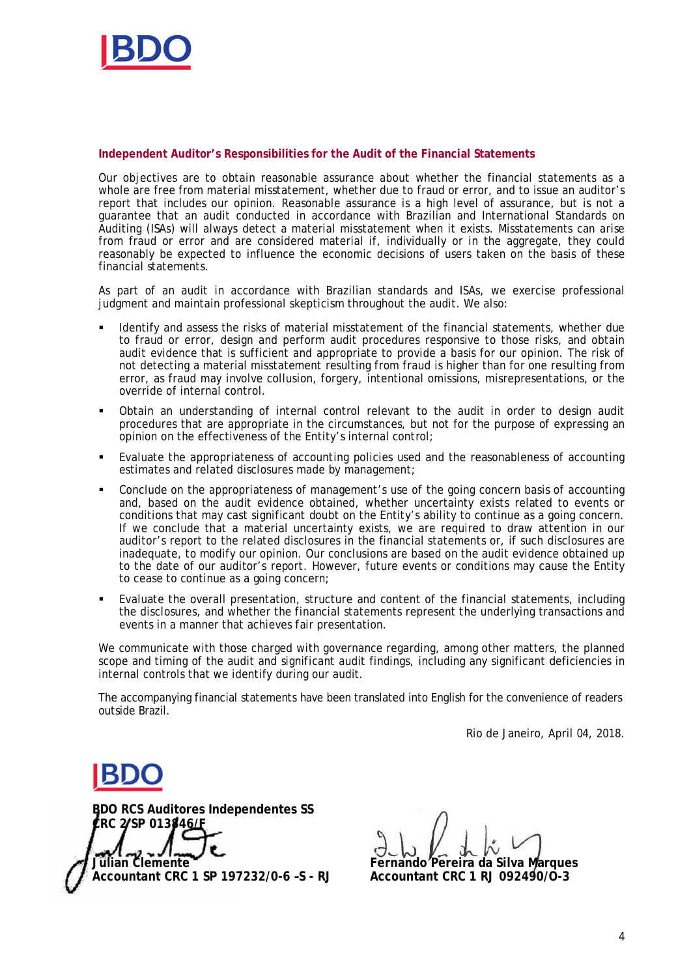

#### **Independent Auditor's Responsibilities for the Audit of the Financial Statements**

Our objectives are to obtain reasonable assurance about whether the financial statements as a whole are free from material misstatement, whether due to fraud or error, and to issue an auditor's report that includes our opinion. Reasonable assurance is a high level of assurance, but is not a guarantee that an audit conducted in accordance with Brazilian and International Standards on Auditing (ISAs) will always detect a material misstatement when it exists. Misstatements can arise from fraud or error and are considered material if, individually or in the aggregate, they could reasonably be expected to influence the economic decisions of users taken on the basis of these financial statements.

As part of an audit in accordance with Brazilian standards and ISAs, we exercise professional judgment and maintain professional skepticism throughout the audit. We also:

- § Identify and assess the risks of material misstatement of the financial statements, whether due to fraud or error, design and perform audit procedures responsive to those risks, and obtain audit evidence that is sufficient and appropriate to provide a basis for our opinion. The risk of not detecting a material misstatement resulting from fraud is higher than for one resulting from error, as fraud may involve collusion, forgery, intentional omissions, misrepresentations, or the override of internal control.
- § Obtain an understanding of internal control relevant to the audit in order to design audit procedures that are appropriate in the circumstances, but not for the purpose of expressing an opinion on the effectiveness of the Entity's internal control;
- Evaluate the appropriateness of accounting policies used and the reasonableness of accounting estimates and related disclosures made by management;
- Conclude on the appropriateness of management's use of the going concern basis of accounting and, based on the audit evidence obtained, whether uncertainty exists related to events or conditions that may cast significant doubt on the Entity's ability to continue as a going concern. If we conclude that a material uncertainty exists, we are required to draw attention in our auditor's report to the related disclosures in the financial statements or, if such disclosures are inadequate, to modify our opinion. Our conclusions are based on the audit evidence obtained up to the date of our auditor's report. However, future events or conditions may cause the Entity to cease to continue as a going concern;
- Evaluate the overall presentation, structure and content of the financial statements, including the disclosures, and whether the financial statements represent the underlying transactions and events in a manner that achieves fair presentation.

We communicate with those charged with governance regarding, among other matters, the planned scope and timing of the audit and significant audit findings, including any significant deficiencies in internal controls that we identify during our audit.

The accompanying financial statements have been translated into English for the convenience of readers outside Brazil.

Rio de Janeiro, April 04, 2018.

**BDO RCS Auditores Independentes SS CRC 2 SP 013846/F Julian Clemente Fernando Pereira da Silva Marques Accountant CRC 1 SP 197232/0-6 –S - RJ Accountant CRC 1 RJ 092490/O-3**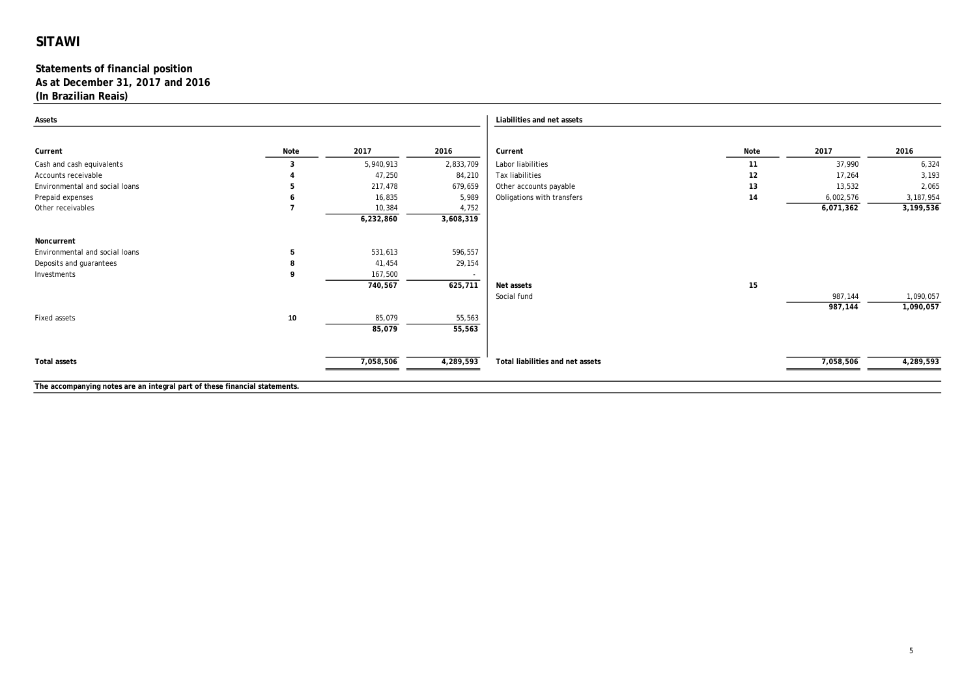#### **Statements of financial position As at December 31, 2017 and 2016 (In Brazilian Reais)**

| Assets                                                                                                                                                                                                                                                                                          |      |           |           | Liabilities and net assets       |      |           |           |
|-------------------------------------------------------------------------------------------------------------------------------------------------------------------------------------------------------------------------------------------------------------------------------------------------|------|-----------|-----------|----------------------------------|------|-----------|-----------|
| Current                                                                                                                                                                                                                                                                                         | Note | 2017      | 2016      | Current                          | Note | 2017      | 2016      |
| Cash and cash equivalents                                                                                                                                                                                                                                                                       |      | 5,940,913 | 2,833,709 | Labor liabilities                | 11   | 37,990    | 6,324     |
| Accounts receivable                                                                                                                                                                                                                                                                             |      | 47,250    | 84,210    | Tax liabilities                  | 12   | 17,264    | 3,193     |
| Environmental and social loans                                                                                                                                                                                                                                                                  |      | 217,478   | 679,659   | Other accounts payable           | 13   | 13,532    | 2,065     |
| Prepaid expenses                                                                                                                                                                                                                                                                                |      | 16,835    | 5,989     | Obligations with transfers       | 14   | 6,002,576 | 3,187,954 |
| Other receivables                                                                                                                                                                                                                                                                               |      | 10,384    | 4,752     |                                  |      | 6,071,362 | 3,199,536 |
|                                                                                                                                                                                                                                                                                                 |      | 6,232,860 | 3,608,319 |                                  |      |           |           |
| Noncurrent                                                                                                                                                                                                                                                                                      |      |           |           |                                  |      |           |           |
| Environmental and social loans                                                                                                                                                                                                                                                                  |      | 531,613   | 596,557   |                                  |      |           |           |
| Deposits and guarantees                                                                                                                                                                                                                                                                         |      | 41,454    | 29,154    |                                  |      |           |           |
| Investments                                                                                                                                                                                                                                                                                     |      | 167,500   |           |                                  |      |           |           |
|                                                                                                                                                                                                                                                                                                 |      | 740,567   | 625,711   | Net assets                       | 15   |           |           |
|                                                                                                                                                                                                                                                                                                 |      |           |           | Social fund                      |      | 987,144   | 1,090,057 |
|                                                                                                                                                                                                                                                                                                 |      |           |           |                                  |      | 987,144   | 1,090,057 |
| Fixed assets                                                                                                                                                                                                                                                                                    | 10   | 85,079    | 55,563    |                                  |      |           |           |
|                                                                                                                                                                                                                                                                                                 |      | 85,079    | 55,563    |                                  |      |           |           |
|                                                                                                                                                                                                                                                                                                 |      |           |           |                                  |      |           |           |
| Total assets                                                                                                                                                                                                                                                                                    |      | 7,058,506 | 4,289,593 | Total liabilities and net assets |      | 7,058,506 | 4,289,593 |
| The contract of the contract of the contract of the contract of $\mathcal{L}$ and $\mathcal{L}$ $\mathcal{L}$ and $\mathcal{L}$ and $\mathcal{L}$ and $\mathcal{L}$ and $\mathcal{L}$ and $\mathcal{L}$ and $\mathcal{L}$ and $\mathcal{L}$ and $\mathcal{L}$ and $\mathcal{L}$ and $\mathcal{$ |      |           |           |                                  |      |           |           |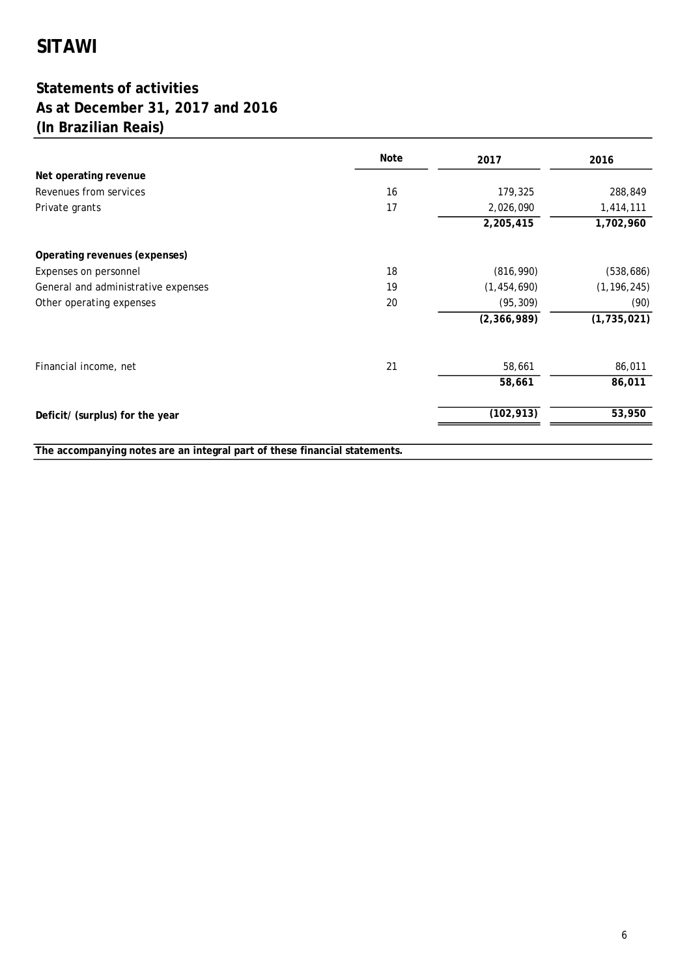# **Statements of activities As at December 31, 2017 and 2016 (In Brazilian Reais)**

|                                     | Note | 2017          | 2016          |
|-------------------------------------|------|---------------|---------------|
| Net operating revenue               |      |               |               |
| Revenues from services              | 16   | 179,325       | 288,849       |
| Private grants                      | 17   | 2,026,090     | 1,414,111     |
|                                     |      | 2,205,415     | 1,702,960     |
| Operating revenues (expenses)       |      |               |               |
| Expenses on personnel               | 18   | (816,990)     | (538, 686)    |
| General and administrative expenses | 19   | (1, 454, 690) | (1, 196, 245) |
| Other operating expenses            | 20   | (95, 309)     | (90)          |
|                                     |      | (2, 366, 989) | (1, 735, 021) |
| Financial income, net               | 21   | 58,661        | 86,011        |
|                                     |      | 58,661        | 86,011        |
| Deficit/ (surplus) for the year     |      | (102, 913)    | 53,950        |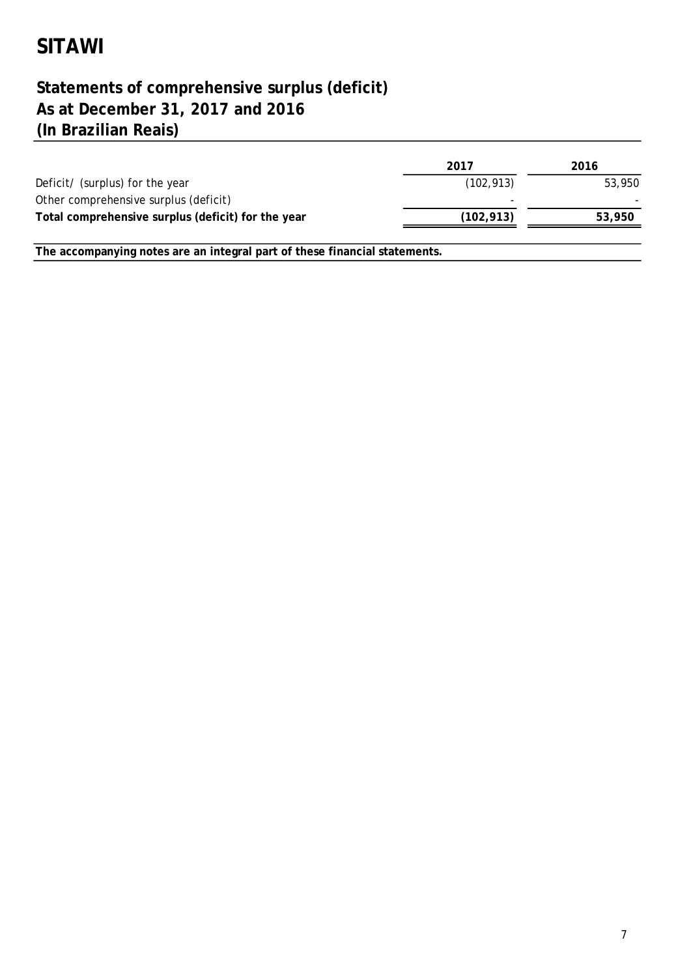# **(In Brazilian Reais) Statements of comprehensive surplus (deficit) As at December 31, 2017 and 2016**

|                                                    | 2017            | 2016   |
|----------------------------------------------------|-----------------|--------|
| Deficit/ (surplus) for the year                    | (102, 913)      | 53,950 |
| Other comprehensive surplus (deficit)              | $\qquad \qquad$ |        |
| Total comprehensive surplus (deficit) for the year | (102, 913)      | 53,950 |
|                                                    |                 |        |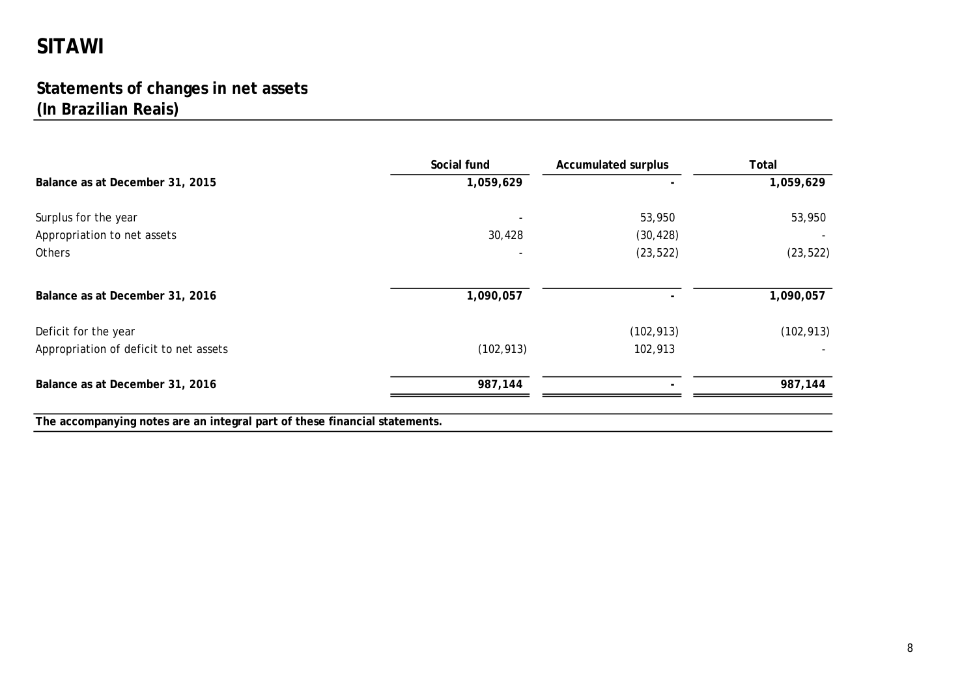# **Statements of changes in net assets (In Brazilian Reais)**

|                                                                            | Social fund | Accumulated surplus | Total      |
|----------------------------------------------------------------------------|-------------|---------------------|------------|
| Balance as at December 31, 2015                                            | 1,059,629   |                     | 1,059,629  |
| Surplus for the year                                                       |             | 53,950              | 53,950     |
| Appropriation to net assets                                                | 30,428      | (30, 428)           |            |
| <b>Others</b>                                                              |             | (23, 522)           | (23, 522)  |
| Balance as at December 31, 2016                                            | 1,090,057   |                     | 1,090,057  |
| Deficit for the year                                                       |             | (102, 913)          | (102, 913) |
| Appropriation of deficit to net assets                                     | (102, 913)  | 102,913             |            |
| Balance as at December 31, 2016                                            | 987,144     |                     | 987,144    |
| The accompanying notes are an integral part of these financial statements. |             |                     |            |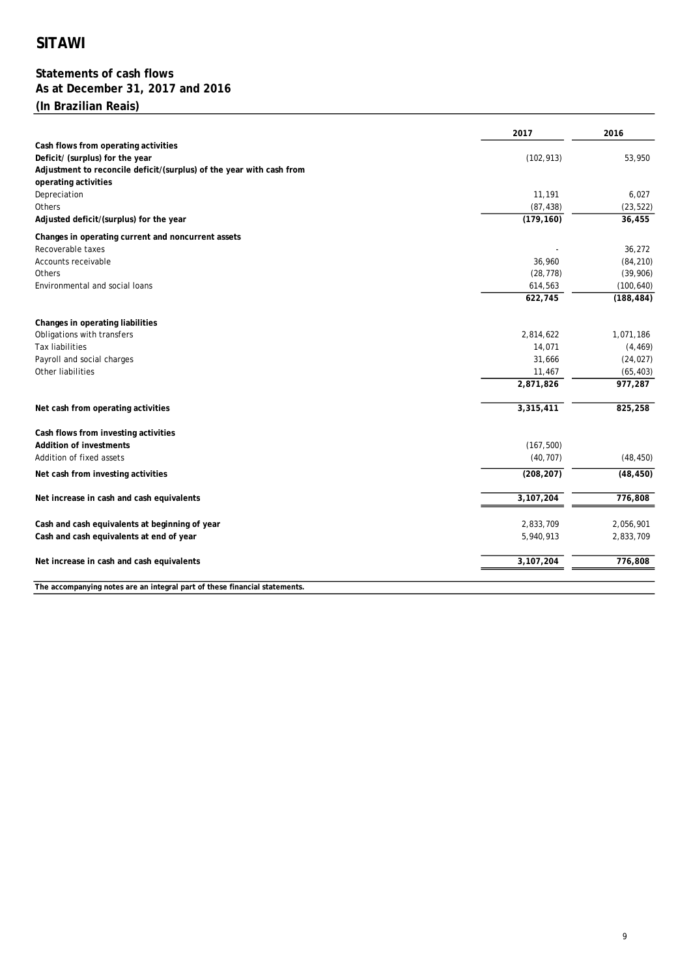### **Statements of cash flows As at December 31, 2017 and 2016 (In Brazilian Reais)**

|                                                                                                         | 2017       | 2016       |
|---------------------------------------------------------------------------------------------------------|------------|------------|
| Cash flows from operating activities                                                                    |            |            |
| Deficit/ (surplus) for the year<br>Adjustment to reconcile deficit/(surplus) of the year with cash from | (102, 913) | 53,950     |
| operating activities                                                                                    |            |            |
| Depreciation                                                                                            | 11,191     | 6,027      |
| Others                                                                                                  | (87, 438)  | (23, 522)  |
| Adjusted deficit/(surplus) for the year                                                                 | (179, 160) | 36,455     |
| Changes in operating current and noncurrent assets                                                      |            |            |
| Recoverable taxes                                                                                       |            | 36,272     |
| Accounts receivable                                                                                     | 36,960     | (84, 210)  |
| Others                                                                                                  | (28, 778)  | (39, 906)  |
| Environmental and social loans                                                                          | 614,563    | (100, 640) |
|                                                                                                         | 622,745    | (188, 484) |
| Changes in operating liabilities                                                                        |            |            |
| Obligations with transfers                                                                              | 2,814,622  | 1,071,186  |
| <b>Tax liabilities</b>                                                                                  | 14,071     | (4, 469)   |
| Payroll and social charges                                                                              | 31,666     | (24, 027)  |
| Other liabilities                                                                                       | 11,467     | (65, 403)  |
|                                                                                                         | 2,871,826  | 977,287    |
| Net cash from operating activities                                                                      | 3,315,411  | 825,258    |
| Cash flows from investing activities                                                                    |            |            |
| Addition of investments                                                                                 | (167, 500) |            |
| Addition of fixed assets                                                                                | (40, 707)  | (48, 450)  |
| Net cash from investing activities                                                                      | (208, 207) | (48, 450)  |
| Net increase in cash and cash equivalents                                                               | 3,107,204  | 776,808    |
| Cash and cash equivalents at beginning of year                                                          | 2,833,709  | 2,056,901  |
| Cash and cash equivalents at end of year                                                                | 5,940,913  | 2,833,709  |
|                                                                                                         |            |            |
| Net increase in cash and cash equivalents                                                               | 3,107,204  | 776,808    |
|                                                                                                         |            |            |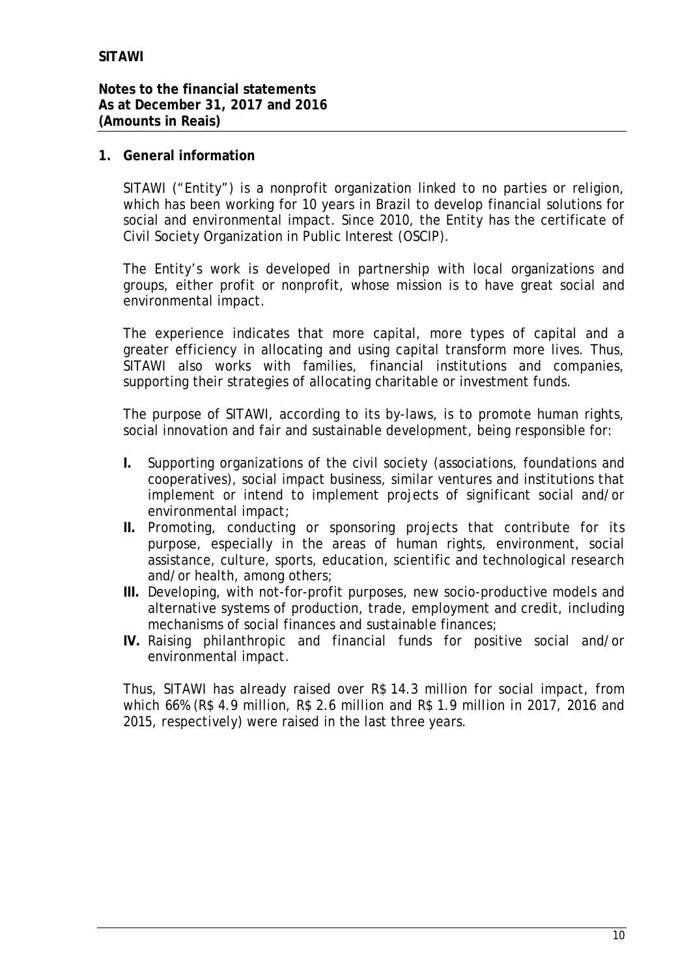### **1. General information**

SITAWI ("Entity") is a nonprofit organization linked to no parties or religion, which has been working for 10 years in Brazil to develop financial solutions for social and environmental impact. Since 2010, the Entity has the certificate of Civil Society Organization in Public Interest (OSCIP).

The Entity's work is developed in partnership with local organizations and groups, either profit or nonprofit, whose mission is to have great social and environmental impact.

The experience indicates that more capital, more types of capital and a greater efficiency in allocating and using capital transform more lives. Thus, SITAWI also works with families, financial institutions and companies, supporting their strategies of allocating charitable or investment funds.

The purpose of SITAWI, according to its by-laws, is to promote human rights, social innovation and fair and sustainable development, being responsible for:

- **I.** Supporting organizations of the civil society (associations, foundations and cooperatives), social impact business, similar ventures and institutions that implement or intend to implement projects of significant social and/or environmental impact;
- **II.** Promoting, conducting or sponsoring projects that contribute for its purpose, especially in the areas of human rights, environment, social assistance, culture, sports, education, scientific and technological research and/or health, among others;
- **III.** Developing, with not-for-profit purposes, new socio-productive models and alternative systems of production, trade, employment and credit, including mechanisms of social finances and sustainable finances;
- **IV.** Raising philanthropic and financial funds for positive social and/or environmental impact.

Thus, SITAWI has already raised over R\$ 14.3 million for social impact, from which 66% (R\$ 4.9 million, R\$ 2.6 million and R\$ 1.9 million in 2017, 2016 and 2015, respectively) were raised in the last three years.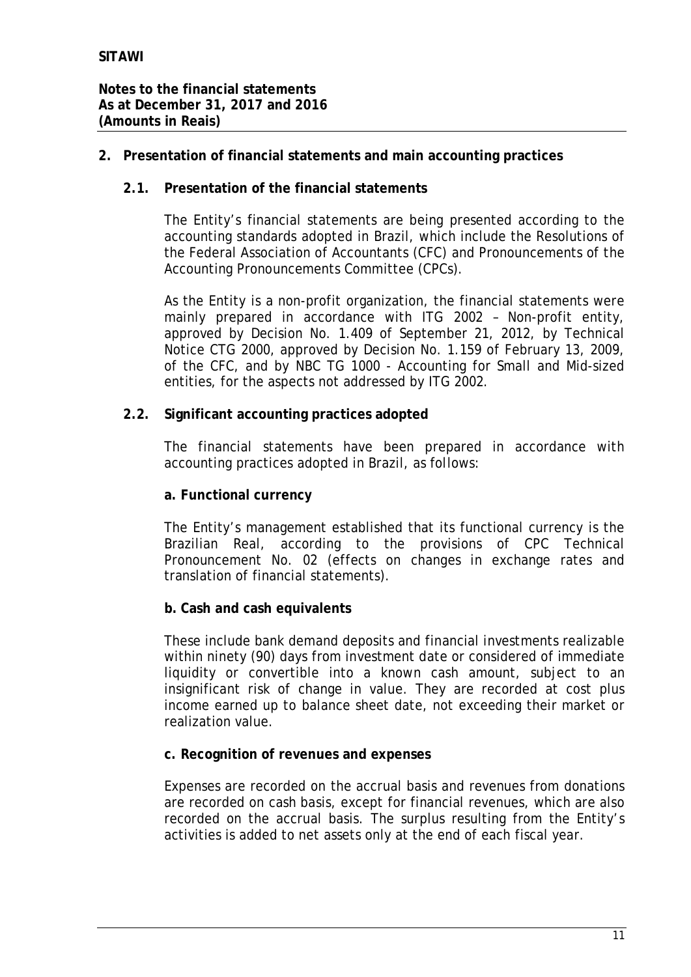- **2. Presentation of financial statements and main accounting practices**
	- **2.1. Presentation of the financial statements**

The Entity's financial statements are being presented according to the accounting standards adopted in Brazil, which include the Resolutions of the Federal Association of Accountants (CFC) and Pronouncements of the Accounting Pronouncements Committee (CPCs).

As the Entity is a non-profit organization, the financial statements were mainly prepared in accordance with ITG 2002 – Non-profit entity, approved by Decision No. 1.409 of September 21, 2012, by Technical Notice CTG 2000, approved by Decision No. 1.159 of February 13, 2009, of the CFC, and by NBC TG 1000 - Accounting for Small and Mid-sized entities, for the aspects not addressed by ITG 2002.

**2.2. Significant accounting practices adopted**

The financial statements have been prepared in accordance with accounting practices adopted in Brazil, as follows:

**a. Functional currency**

The Entity's management established that its functional currency is the Brazilian Real, according to the provisions of CPC Technical Pronouncement No. 02 (effects on changes in exchange rates and translation of financial statements).

**b. Cash and cash equivalents**

These include bank demand deposits and financial investments realizable within ninety (90) days from investment date or considered of immediate liquidity or convertible into a known cash amount, subject to an insignificant risk of change in value. They are recorded at cost plus income earned up to balance sheet date, not exceeding their market or realization value.

**c. Recognition of revenues and expenses**

Expenses are recorded on the accrual basis and revenues from donations are recorded on cash basis, except for financial revenues, which are also recorded on the accrual basis. The surplus resulting from the Entity's activities is added to net assets only at the end of each fiscal year.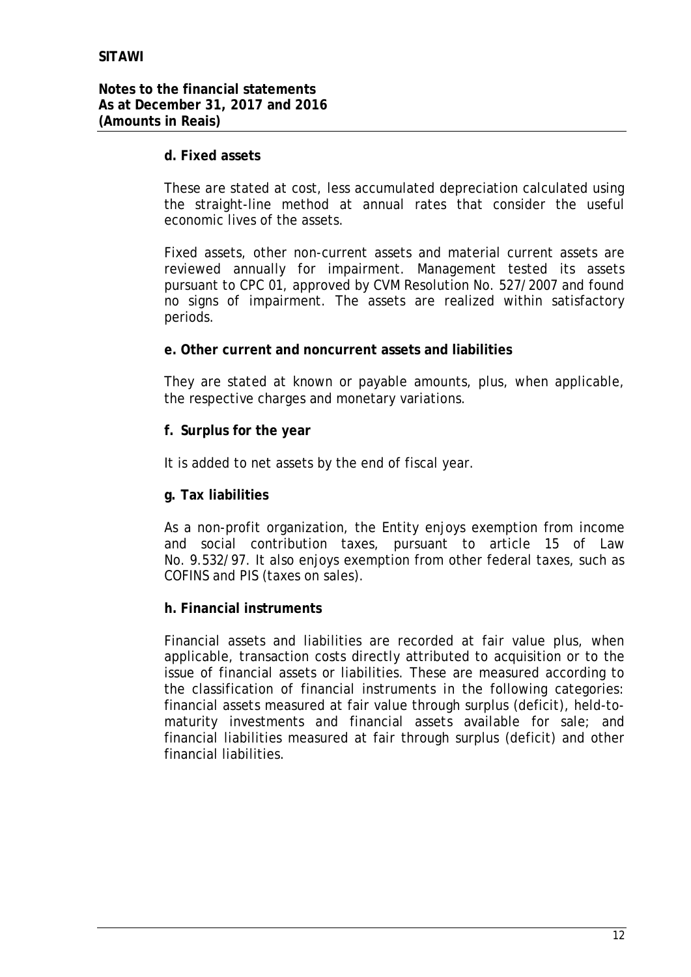#### **d. Fixed assets**

These are stated at cost, less accumulated depreciation calculated using the straight-line method at annual rates that consider the useful economic lives of the assets.

Fixed assets, other non-current assets and material current assets are reviewed annually for impairment. Management tested its assets pursuant to CPC 01, approved by CVM Resolution No. 527/2007 and found no signs of impairment. The assets are realized within satisfactory periods.

**e. Other current and noncurrent assets and liabilities**

They are stated at known or payable amounts, plus, when applicable, the respective charges and monetary variations.

**f. Surplus for the year**

It is added to net assets by the end of fiscal year.

**g. Tax liabilities**

As a non-profit organization, the Entity enjoys exemption from income and social contribution taxes, pursuant to article 15 of Law No. 9.532/97. It also enjoys exemption from other federal taxes, such as COFINS and PIS (taxes on sales).

**h. Financial instruments**

Financial assets and liabilities are recorded at fair value plus, when applicable, transaction costs directly attributed to acquisition or to the issue of financial assets or liabilities. These are measured according to the classification of financial instruments in the following categories: financial assets measured at fair value through surplus (deficit), held-tomaturity investments and financial assets available for sale; and financial liabilities measured at fair through surplus (deficit) and other financial liabilities.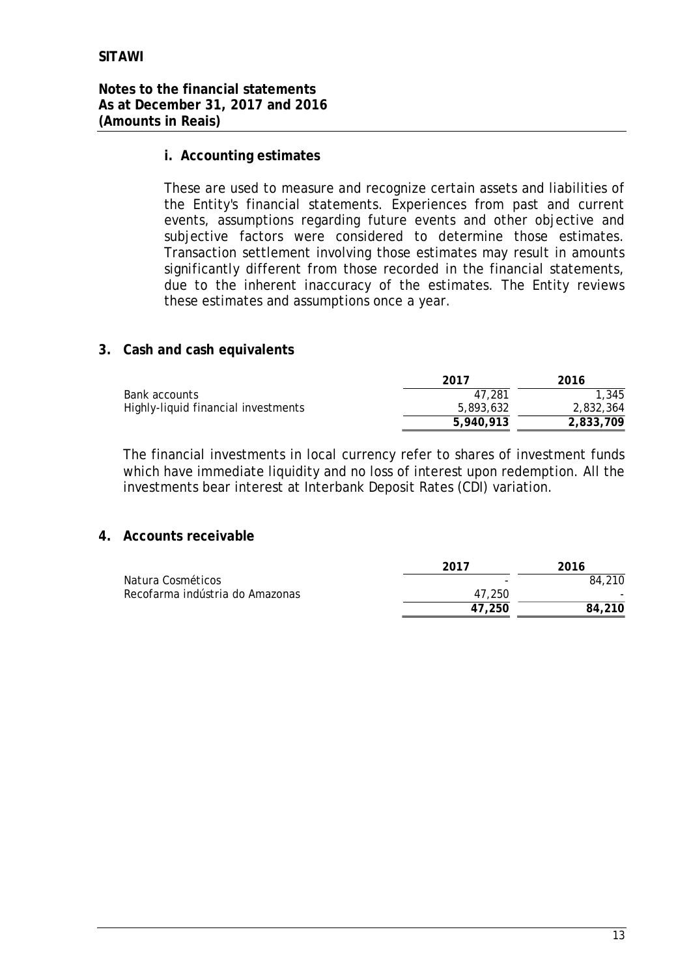**i. Accounting estimates**

These are used to measure and recognize certain assets and liabilities of the Entity's financial statements. Experiences from past and current events, assumptions regarding future events and other objective and subjective factors were considered to determine those estimates. Transaction settlement involving those estimates may result in amounts significantly different from those recorded in the financial statements, due to the inherent inaccuracy of the estimates. The Entity reviews these estimates and assumptions once a year.

#### **3. Cash and cash equivalents**

|                                     | 2017      | 2016      |
|-------------------------------------|-----------|-----------|
| Bank accounts                       | 47.281    | 1,345     |
| Highly-liquid financial investments | 5.893.632 | 2,832,364 |
|                                     | 5,940,913 | 2,833,709 |

The financial investments in local currency refer to shares of investment funds which have immediate liquidity and no loss of interest upon redemption. All the investments bear interest at Interbank Deposit Rates (CDI) variation.

#### **4. Accounts receivable**

|                                 | 2017   | 2016   |
|---------------------------------|--------|--------|
| Natura Cosméticos               | -      | 84,210 |
| Recofarma indústria do Amazonas | 47.250 |        |
|                                 | 47.250 | 84,210 |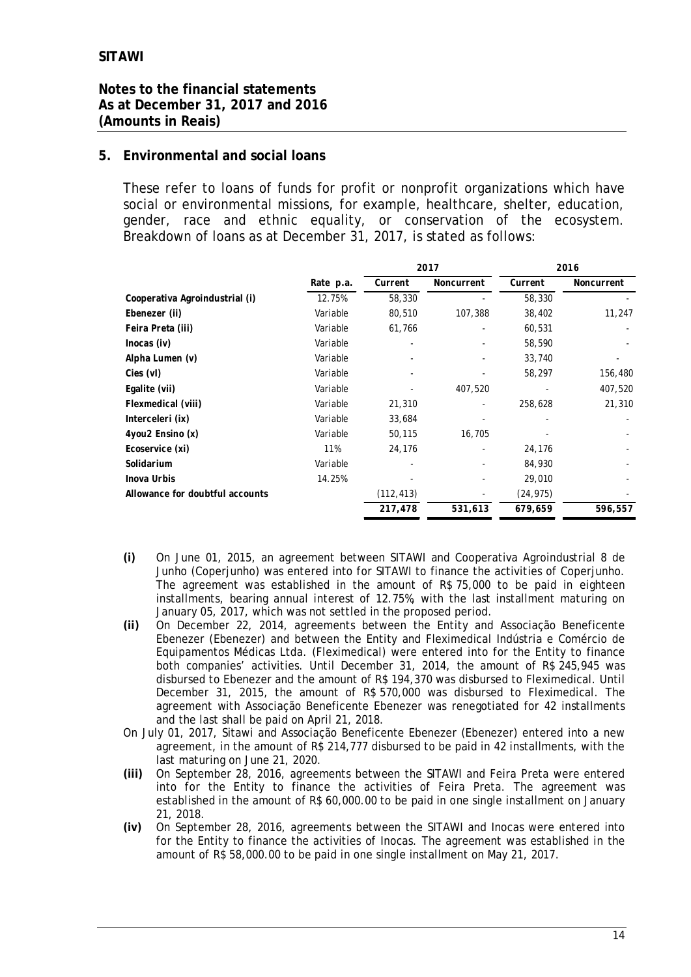### **5. Environmental and social loans**

These refer to loans of funds for profit or nonprofit organizations which have social or environmental missions, for example, healthcare, shelter, education, gender, race and ethnic equality, or conservation of the ecosystem. Breakdown of loans as at December 31, 2017, is stated as follows:

|                                 | 2017      |            |            | 2016      |            |
|---------------------------------|-----------|------------|------------|-----------|------------|
|                                 | Rate p.a. | Current    | Noncurrent | Current   | Noncurrent |
| Cooperativa Agroindustrial (i)  | 12.75%    | 58,330     |            | 58,330    |            |
| Ebenezer (ii)                   | Variable  | 80,510     | 107,388    | 38,402    | 11,247     |
| Feira Preta (iii)               | Variable  | 61,766     |            | 60,531    |            |
| Inocas (iv)                     | Variable  |            |            | 58,590    |            |
| Alpha Lumen (v)                 | Variable  |            |            | 33,740    |            |
| Cies (vl)                       | Variable  |            |            | 58,297    | 156,480    |
| Egalite (vii)                   | Variable  |            | 407,520    |           | 407,520    |
| Flexmedical (viii)              | Variable  | 21,310     |            | 258,628   | 21,310     |
| Interceleri (ix)                | Variable  | 33,684     |            |           |            |
| 4you2 Ensino (x)                | Variable  | 50,115     | 16,705     |           |            |
| Ecoservice (xi)                 | 11%       | 24,176     |            | 24,176    |            |
| Solidarium                      | Variable  |            |            | 84,930    |            |
| Inova Urbis                     | 14.25%    |            |            | 29,010    |            |
| Allowance for doubtful accounts |           | (112, 413) |            | (24, 975) |            |
|                                 |           | 217,478    | 531,613    | 679,659   | 596,557    |

- **(i)** On June 01, 2015, an agreement between SITAWI and Cooperativa Agroindustrial 8 de Junho (Coperjunho) was entered into for SITAWI to finance the activities of Coperjunho. The agreement was established in the amount of R\$ 75,000 to be paid in eighteen installments, bearing annual interest of 12.75%, with the last installment maturing on January 05, 2017, which was not settled in the proposed period.
- **(ii)** On December 22, 2014, agreements between the Entity and Associação Beneficente Ebenezer (Ebenezer) and between the Entity and Fleximedical Indústria e Comércio de Equipamentos Médicas Ltda. (Fleximedical) were entered into for the Entity to finance both companies' activities. Until December 31, 2014, the amount of R\$ 245,945 was disbursed to Ebenezer and the amount of R\$ 194,370 was disbursed to Fleximedical. Until December 31, 2015, the amount of R\$ 570,000 was disbursed to Fleximedical. The agreement with Associação Beneficente Ebenezer was renegotiated for 42 installments and the last shall be paid on April 21, 2018.
- On July 01, 2017, Sitawi and Associação Beneficente Ebenezer (Ebenezer) entered into a new agreement, in the amount of R\$ 214,777 disbursed to be paid in 42 installments, with the last maturing on June 21, 2020.
- **(iii)** On September 28, 2016, agreements between the SITAWI and Feira Preta were entered into for the Entity to finance the activities of Feira Preta. The agreement was established in the amount of R\$ 60,000.00 to be paid in one single installment on January 21, 2018.
- **(iv)** On September 28, 2016, agreements between the SITAWI and Inocas were entered into for the Entity to finance the activities of Inocas. The agreement was established in the amount of R\$ 58,000.00 to be paid in one single installment on May 21, 2017.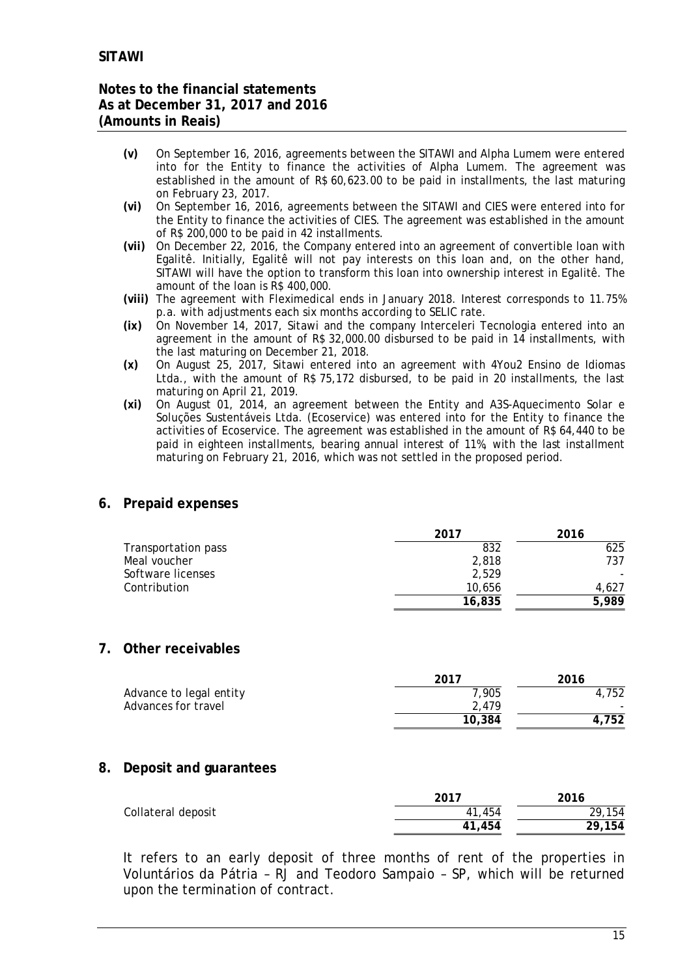#### **Notes to the financial statements As at December 31, 2017 and 2016 (Amounts in Reais)**

- **(v)** On September 16, 2016, agreements between the SITAWI and Alpha Lumem were entered into for the Entity to finance the activities of Alpha Lumem. The agreement was established in the amount of R\$ 60,623.00 to be paid in installments, the last maturing on February 23, 2017.
- **(vi)** On September 16, 2016, agreements between the SITAWI and CIES were entered into for the Entity to finance the activities of CIES. The agreement was established in the amount of R\$ 200,000 to be paid in 42 installments.
- **(vii)** On December 22, 2016, the Company entered into an agreement of convertible loan with Egalitê. Initially, Egalitê will not pay interests on this loan and, on the other hand, SITAWI will have the option to transform this loan into ownership interest in Egalitê. The amount of the loan is R\$ 400,000.
- **(viii)** The agreement with Fleximedical ends in January 2018. Interest corresponds to 11.75% p.a. with adjustments each six months according to SELIC rate.
- **(ix)** On November 14, 2017, Sitawi and the company Interceleri Tecnologia entered into an agreement in the amount of R\$ 32,000.00 disbursed to be paid in 14 installments, with the last maturing on December 21, 2018.
- **(x)** On August 25, 2017, Sitawi entered into an agreement with 4You2 Ensino de Idiomas Ltda., with the amount of R\$ 75,172 disbursed, to be paid in 20 installments, the last maturing on April 21, 2019.
- **(xi)** On August 01, 2014, an agreement between the Entity and A3S-Aquecimento Solar e Soluções Sustentáveis Ltda. (Ecoservice) was entered into for the Entity to finance the activities of Ecoservice. The agreement was established in the amount of R\$ 64,440 to be paid in eighteen installments, bearing annual interest of 11%, with the last installment maturing on February 21, 2016, which was not settled in the proposed period.

#### **6. Prepaid expenses**

|                     | 2017   | 2016  |
|---------------------|--------|-------|
| Transportation pass | 832    | 625   |
| Meal voucher        | 2.818  | 737   |
| Software licenses   | 2.529  |       |
| Contribution        | 10,656 | 4.627 |
|                     | 16,835 | 5,989 |

#### **7. Other receivables**

|                         | 2017   | 2016     |
|-------------------------|--------|----------|
| Advance to legal entity | 7,905  | 752      |
| Advances for travel     | 2.479  |          |
|                         | 10,384 | 752<br>4 |

#### **8. Deposit and guarantees**

|                    | 2017   | 2016   |  |
|--------------------|--------|--------|--|
| Collateral deposit | 41,454 | 29,154 |  |
|                    | 41,454 | 29,154 |  |

It refers to an early deposit of three months of rent of the properties in Voluntários da Pátria – RJ and Teodoro Sampaio – SP, which will be returned upon the termination of contract.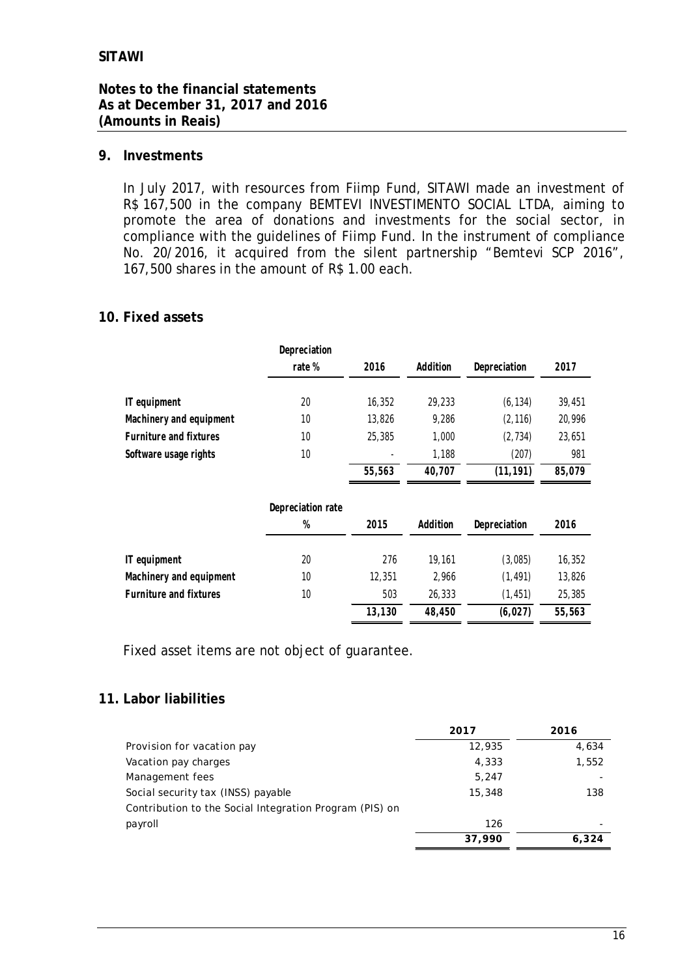## **9. Investments**

In July 2017, with resources from Fiimp Fund, SITAWI made an investment of R\$ 167,500 in the company BEMTEVI INVESTIMENTO SOCIAL LTDA, aiming to promote the area of donations and investments for the social sector, in compliance with the guidelines of Fiimp Fund. In the instrument of compliance No. 20/2016, it acquired from the silent partnership "Bemtevi SCP 2016", 167,500 shares in the amount of R\$ 1.00 each.

### **10. Fixed assets**

|                         | Depreciation      |        |             |              |        |
|-------------------------|-------------------|--------|-------------|--------------|--------|
|                         | rate%             | 2016   | Addition    | Depreciation | 2017   |
|                         |                   |        |             |              |        |
| IT equipment            | 20                | 16,352 | 29,233      | (6, 134)     | 39,451 |
| Machinery and equipment | 10                | 13,826 | 9,286       | (2, 116)     | 20,996 |
| Furniture and fixtures  | 10                | 25,385 | 1,000       | (2, 734)     | 23,651 |
| Software usage rights   | 10                |        | 1,188       | (207)        | 981    |
|                         |                   | 55,563 | 40,707      | (11, 191)    | 85,079 |
|                         |                   |        |             |              |        |
|                         | Depreciation rate |        |             |              |        |
|                         | $\Omega$          | 001E   | $A$ ddition | Dopropiation | 201L   |

|                         | $\frac{9}{2}$ | 20 I D | Addition | Depreciation | 2010   |
|-------------------------|---------------|--------|----------|--------------|--------|
|                         |               |        |          |              |        |
| IT equipment            | 20            | 276    | 19.161   | (3,085)      | 16,352 |
| Machinery and equipment | 10            | 12,351 | 2.966    | (1.491)      | 13,826 |
| Furniture and fixtures  | 10            | 503    | 26,333   | (1.451)      | 25,385 |
|                         |               | 13,130 | 48,450   | (6.027)      | 55,563 |

Fixed asset items are not object of guarantee.

## **11. Labor liabilities**

|                                                         | 2017   | 2016  |
|---------------------------------------------------------|--------|-------|
| Provision for vacation pay                              | 12,935 | 4,634 |
| Vacation pay charges                                    | 4,333  | 1,552 |
| Management fees                                         | 5.247  |       |
| Social security tax (INSS) payable                      | 15,348 | 138   |
| Contribution to the Social Integration Program (PIS) on |        |       |
| payroll                                                 | 126    |       |
|                                                         | 37,990 | 6.324 |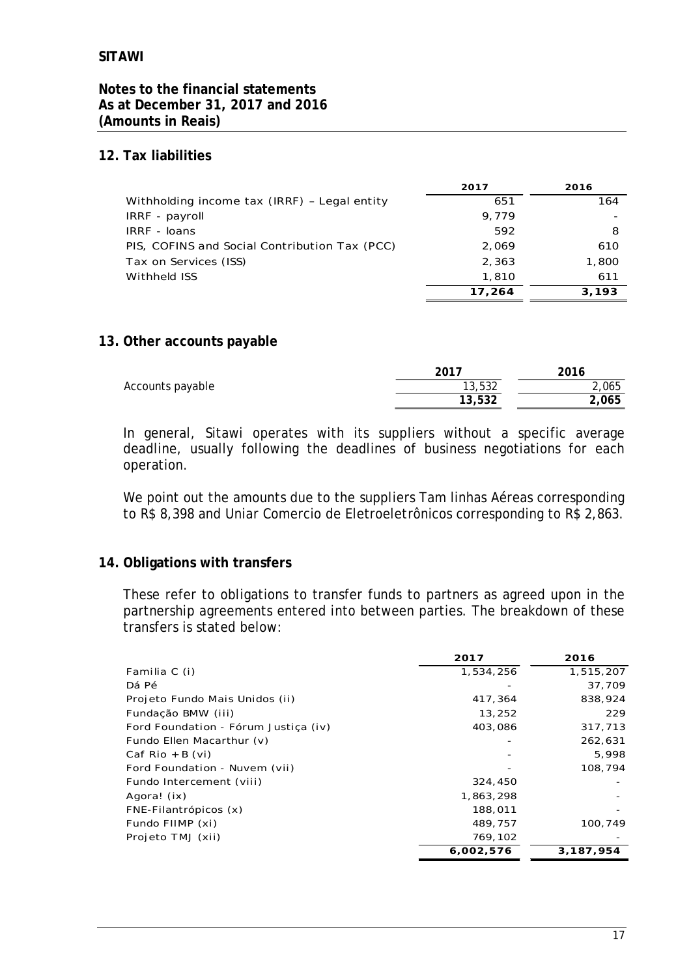#### **Notes to the financial statements As at December 31, 2017 and 2016 (Amounts in Reais)**

#### **12. Tax liabilities**

|                                               | 2017   | 2016  |
|-----------------------------------------------|--------|-------|
| Withholding income tax (IRRF) - Legal entity  | 651    | 164   |
| IRRF - payroll                                | 9.779  |       |
| IRRF - Ioans                                  | 592    | 8     |
| PIS, COFINS and Social Contribution Tax (PCC) | 2,069  | 610   |
| Tax on Services (ISS)                         | 2,363  | 1,800 |
| Withheld ISS                                  | 1,810  | 611   |
|                                               | 17.264 | 3.193 |

#### **13. Other accounts payable**

| Accounts payable | 2017   | 2016  |
|------------------|--------|-------|
|                  | 13,532 | 2,065 |
|                  | 13,532 | 2,065 |

In general, Sitawi operates with its suppliers without a specific average deadline, usually following the deadlines of business negotiations for each operation.

We point out the amounts due to the suppliers Tam linhas Aéreas corresponding to R\$ 8,398 and Uniar Comercio de Eletroeletrônicos corresponding to R\$ 2,863.

#### **14. Obligations with transfers**

These refer to obligations to transfer funds to partners as agreed upon in the partnership agreements entered into between parties. The breakdown of these transfers is stated below:

|                                      | 2017      | 2016      |
|--------------------------------------|-----------|-----------|
| Familia C (i)                        | 1,534,256 | 1,515,207 |
| Dá Pé                                |           | 37,709    |
| Projeto Fundo Mais Unidos (ii)       | 417,364   | 838,924   |
| Fundação BMW (iii)                   | 13,252    | 229       |
| Ford Foundation - Fórum Justica (iv) | 403,086   | 317,713   |
| Fundo Ellen Macarthur (v)            |           | 262,631   |
| $Caf Rio + B (vi)$                   |           | 5,998     |
| Ford Foundation - Nuvem (vii)        |           | 108,794   |
| Fundo Intercement (viii)             | 324,450   |           |
| Agora! (ix)                          | 1,863,298 |           |
| FNE-Filantrópicos (x)                | 188,011   |           |
| Fundo FIIMP (xi)                     | 489,757   | 100.749   |
| Projeto TMJ (xii)                    | 769,102   |           |
|                                      | 6,002,576 | 3,187,954 |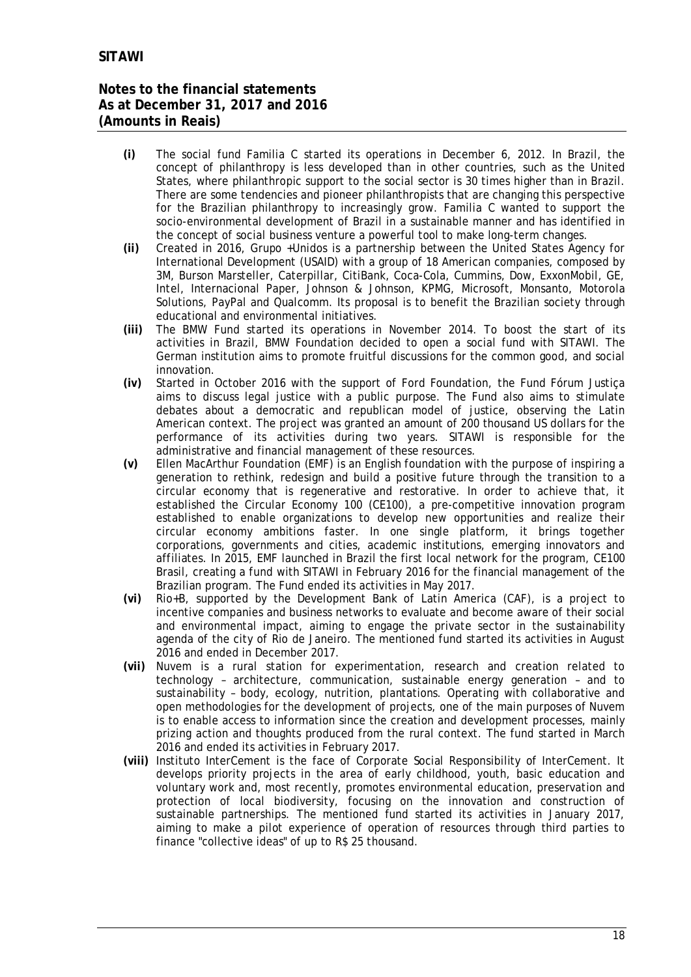### **Notes to the financial statements As at December 31, 2017 and 2016 (Amounts in Reais)**

- **(i)** The social fund Familia C started its operations in December 6, 2012. In Brazil, the concept of philanthropy is less developed than in other countries, such as the United States, where philanthropic support to the social sector is 30 times higher than in Brazil. There are some tendencies and pioneer philanthropists that are changing this perspective for the Brazilian philanthropy to increasingly grow. Familia C wanted to support the socio-environmental development of Brazil in a sustainable manner and has identified in the concept of social business venture a powerful tool to make long-term changes.
- **(ii)** Created in 2016, Grupo +Unidos is a partnership between the United States Agency for International Development (USAID) with a group of 18 American companies, composed by 3M, Burson Marsteller, Caterpillar, CitiBank, Coca-Cola, Cummins, Dow, ExxonMobil, GE, Intel, Internacional Paper, Johnson & Johnson, KPMG, Microsoft, Monsanto, Motorola Solutions, PayPal and Qualcomm. Its proposal is to benefit the Brazilian society through educational and environmental initiatives.
- **(iii)** The BMW Fund started its operations in November 2014. To boost the start of its activities in Brazil, BMW Foundation decided to open a social fund with SITAWI. The German institution aims to promote fruitful discussions for the common good, and social innovation.
- **(iv)** Started in October 2016 with the support of Ford Foundation, the Fund Fórum Justiça aims to discuss legal justice with a public purpose. The Fund also aims to stimulate debates about a democratic and republican model of justice, observing the Latin American context. The project was granted an amount of 200 thousand US dollars for the performance of its activities during two years. SITAWI is responsible for the administrative and financial management of these resources.
- **(v)** Ellen MacArthur Foundation (EMF) is an English foundation with the purpose of inspiring a generation to rethink, redesign and build a positive future through the transition to a circular economy that is regenerative and restorative. In order to achieve that, it established the Circular Economy 100 (CE100), a pre-competitive innovation program established to enable organizations to develop new opportunities and realize their circular economy ambitions faster. In one single platform, it brings together corporations, governments and cities, academic institutions, emerging innovators and affiliates. In 2015, EMF launched in Brazil the first local network for the program, CE100 Brasil, creating a fund with SITAWI in February 2016 for the financial management of the Brazilian program. The Fund ended its activities in May 2017.
- **(vi)** Rio+B, supported by the Development Bank of Latin America (CAF), is a project to incentive companies and business networks to evaluate and become aware of their social and environmental impact, aiming to engage the private sector in the sustainability agenda of the city of Rio de Janeiro. The mentioned fund started its activities in August 2016 and ended in December 2017.
- **(vii)** Nuvem is a rural station for experimentation, research and creation related to technology – architecture, communication, sustainable energy generation – and to sustainability – body, ecology, nutrition, plantations. Operating with collaborative and open methodologies for the development of projects, one of the main purposes of Nuvem is to enable access to information since the creation and development processes, mainly prizing action and thoughts produced from the rural context. The fund started in March 2016 and ended its activities in February 2017.
- **(viii)** Instituto InterCement is the face of Corporate Social Responsibility of InterCement. It develops priority projects in the area of early childhood, youth, basic education and voluntary work and, most recently, promotes environmental education, preservation and protection of local biodiversity, focusing on the innovation and construction of sustainable partnerships. The mentioned fund started its activities in January 2017, aiming to make a pilot experience of operation of resources through third parties to finance "collective ideas" of up to R\$ 25 thousand.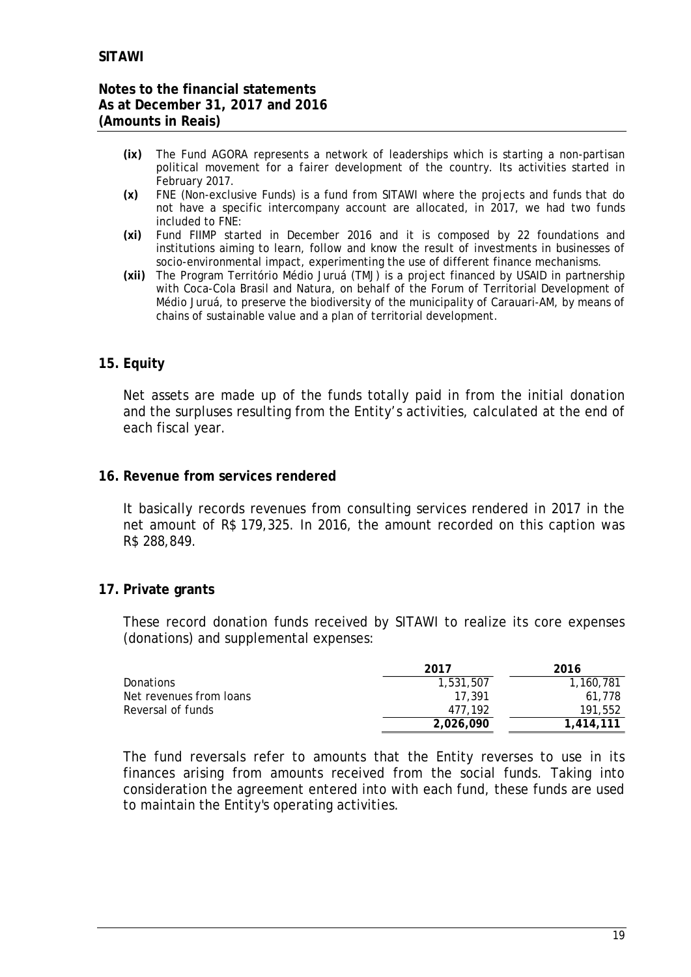- **(ix)** The Fund AGORA represents a network of leaderships which is starting a non-partisan political movement for a fairer development of the country. Its activities started in February 2017.
- **(x)** FNE (Non-exclusive Funds) is a fund from SITAWI where the projects and funds that do not have a specific intercompany account are allocated, in 2017, we had two funds included to FNE:
- **(xi)** Fund FIIMP started in December 2016 and it is composed by 22 foundations and institutions aiming to learn, follow and know the result of investments in businesses of socio-environmental impact, experimenting the use of different finance mechanisms.
- **(xii)** The Program Território Médio Juruá (TMJ) is a project financed by USAID in partnership with Coca-Cola Brasil and Natura, on behalf of the Forum of Territorial Development of Médio Juruá, to preserve the biodiversity of the municipality of Carauari-AM, by means of chains of sustainable value and a plan of territorial development.

### **15. Equity**

Net assets are made up of the funds totally paid in from the initial donation and the surpluses resulting from the Entity's activities, calculated at the end of each fiscal year.

**16. Revenue from services rendered**

It basically records revenues from consulting services rendered in 2017 in the net amount of R\$ 179,325. In 2016, the amount recorded on this caption was R\$ 288,849.

#### **17. Private grants**

These record donation funds received by SITAWI to realize its core expenses (donations) and supplemental expenses:

|                         | 2017      | 2016      |
|-------------------------|-----------|-----------|
| Donations               | 1,531,507 | 1,160,781 |
| Net revenues from loans | 17.391    | 61.778    |
| Reversal of funds       | 477.192   | 191,552   |
|                         | 2,026,090 | 1,414,111 |

The fund reversals refer to amounts that the Entity reverses to use in its finances arising from amounts received from the social funds. Taking into consideration the agreement entered into with each fund, these funds are used to maintain the Entity's operating activities.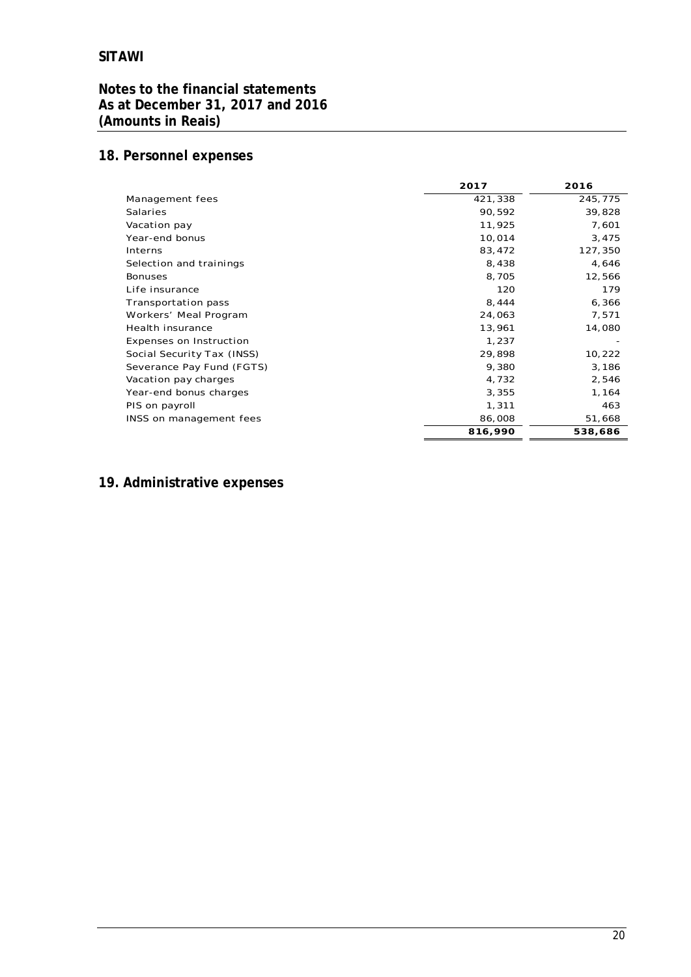# **18. Personnel expenses**

|                            | 2017    | 2016    |
|----------------------------|---------|---------|
| Management fees            | 421,338 | 245,775 |
| <b>Salaries</b>            | 90,592  | 39,828  |
| Vacation pay               | 11,925  | 7,601   |
| Year-end bonus             | 10,014  | 3,475   |
| Interns                    | 83,472  | 127,350 |
| Selection and trainings    | 8,438   | 4,646   |
| <b>Bonuses</b>             | 8,705   | 12,566  |
| Life insurance             | 120     | 179     |
| Transportation pass        | 8,444   | 6,366   |
| Workers' Meal Program      | 24,063  | 7,571   |
| Health insurance           | 13,961  | 14,080  |
| Expenses on Instruction    | 1,237   |         |
| Social Security Tax (INSS) | 29,898  | 10,222  |
| Severance Pay Fund (FGTS)  | 9,380   | 3,186   |
| Vacation pay charges       | 4,732   | 2,546   |
| Year-end bonus charges     | 3,355   | 1,164   |
| PIS on payroll             | 1,311   | 463     |
| INSS on management fees    | 86,008  | 51,668  |
|                            | 816,990 | 538,686 |

# **19. Administrative expenses**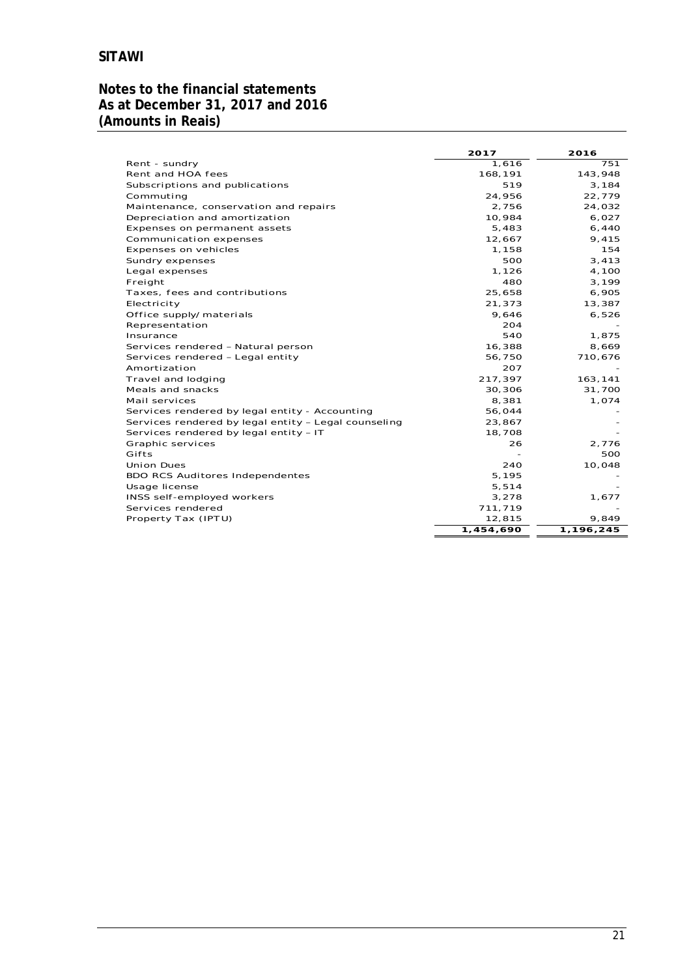## **Notes to the financial statements As at December 31, 2017 and 2016 (Amounts in Reais)**

|                                                      | 2017      | 2016      |
|------------------------------------------------------|-----------|-----------|
| Rent - sundry                                        | 1,616     | 751       |
| Rent and HOA fees                                    | 168,191   | 143,948   |
| Subscriptions and publications                       | 519       | 3,184     |
| Commuting                                            | 24,956    | 22,779    |
| Maintenance, conservation and repairs                | 2,756     | 24,032    |
| Depreciation and amortization                        | 10,984    | 6,027     |
| Expenses on permanent assets                         | 5,483     | 6,440     |
| Communication expenses                               | 12,667    | 9,415     |
| Expenses on vehicles                                 | 1,158     | 154       |
| Sundry expenses                                      | 500       | 3.413     |
| Legal expenses                                       | 1,126     | 4,100     |
| Freight                                              | 480       | 3,199     |
| Taxes, fees and contributions                        | 25,658    | 6,905     |
| Electricity                                          | 21,373    | 13,387    |
| Office supply/materials                              | 9.646     | 6,526     |
| Representation                                       | 204       |           |
| Insurance                                            | 540       | 1,875     |
| Services rendered - Natural person                   | 16,388    | 8,669     |
| Services rendered - Legal entity                     | 56,750    | 710,676   |
| Amortization                                         | 207       |           |
| Travel and lodging                                   | 217,397   | 163,141   |
| Meals and snacks                                     | 30,306    | 31,700    |
| Mail services                                        | 8,381     | 1,074     |
| Services rendered by legal entity - Accounting       | 56,044    |           |
| Services rendered by legal entity - Legal counseling | 23,867    |           |
| Services rendered by legal entity - IT               | 18,708    |           |
| Graphic services                                     | 26        | 2,776     |
| Gifts                                                |           | 500       |
| Union Dues                                           | 240       | 10,048    |
| <b>BDO RCS Auditores Independentes</b>               | 5,195     |           |
| Usage license                                        | 5,514     |           |
| INSS self-employed workers                           | 3,278     | 1,677     |
| Services rendered                                    | 711,719   |           |
| Property Tax (IPTU)                                  | 12,815    | 9,849     |
|                                                      | 1,454,690 | 1,196,245 |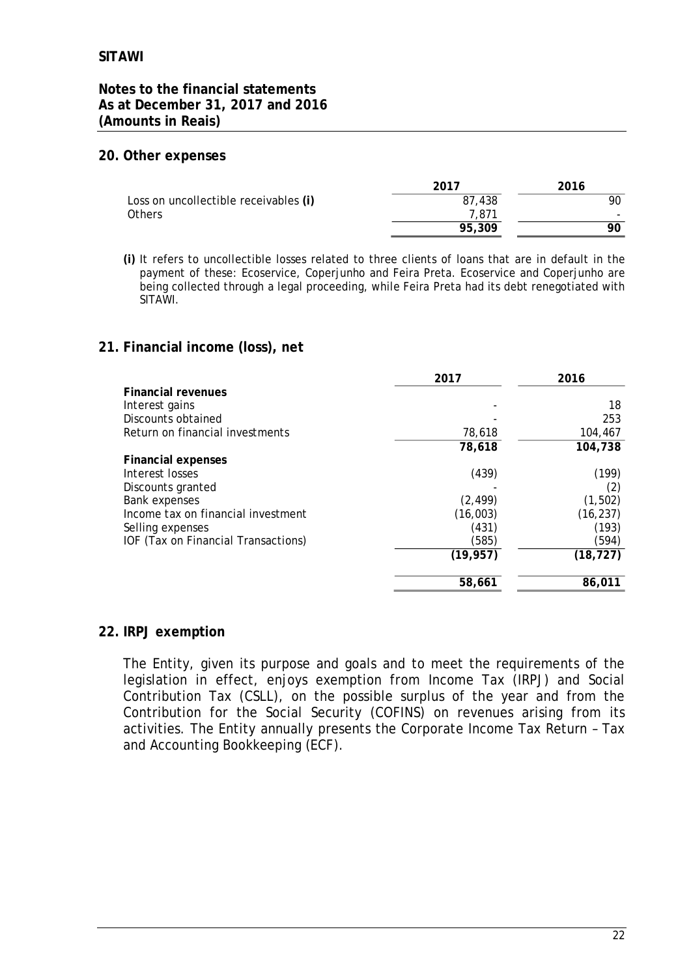#### **20. Other expenses**

| 2017   | 2016 |
|--------|------|
| 87.438 | 90   |
| 7.871  | -    |
| 95,309 | 90   |
|        |      |

**(i)** It refers to uncollectible losses related to three clients of loans that are in default in the payment of these: Ecoservice, Coperjunho and Feira Preta. Ecoservice and Coperjunho are being collected through a legal proceeding, while Feira Preta had its debt renegotiated with SITAWI.

## **21. Financial income (loss), net**

|                                     | 2017      | 2016      |
|-------------------------------------|-----------|-----------|
| <b>Financial revenues</b>           |           |           |
| Interest gains                      |           | 18        |
| Discounts obtained                  |           | 253       |
| Return on financial investments     | 78,618    | 104,467   |
|                                     | 78,618    | 104,738   |
| Financial expenses                  |           |           |
| Interest losses                     | (439)     | (199)     |
| Discounts granted                   |           | (2)       |
| Bank expenses                       | (2, 499)  | (1, 502)  |
| Income tax on financial investment  | (16,003)  | (16, 237) |
| Selling expenses                    | (431)     | (193)     |
| IOF (Tax on Financial Transactions) | (585)     | (594)     |
|                                     | (19, 957) | (18, 727) |
|                                     | 58,661    | 86.011    |
|                                     |           |           |

#### **22. IRPJ exemption**

The Entity, given its purpose and goals and to meet the requirements of the legislation in effect, enjoys exemption from Income Tax (IRPJ) and Social Contribution Tax (CSLL), on the possible surplus of the year and from the Contribution for the Social Security (COFINS) on revenues arising from its activities. The Entity annually presents the Corporate Income Tax Return – Tax and Accounting Bookkeeping (ECF).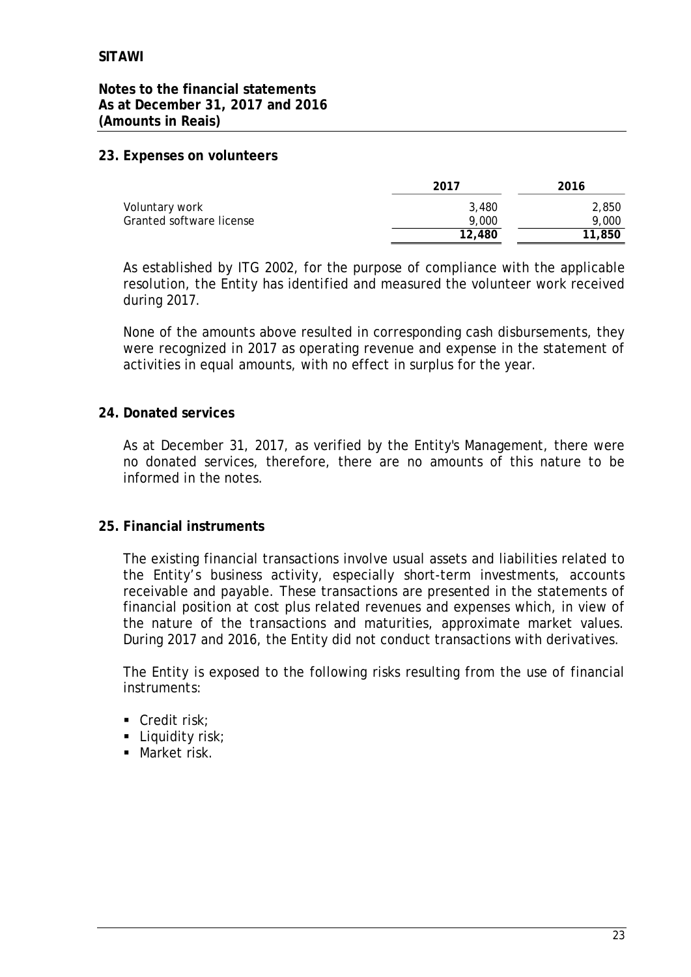#### **Notes to the financial statements As at December 31, 2017 and 2016 (Amounts in Reais)**

#### **23. Expenses on volunteers**

|                          | 2017   | 2016   |
|--------------------------|--------|--------|
| Voluntary work           | 3,480  | 2,850  |
| Granted software license | 9,000  | 9,000  |
|                          | 12,480 | 11,850 |

As established by ITG 2002, for the purpose of compliance with the applicable resolution, the Entity has identified and measured the volunteer work received during 2017.

None of the amounts above resulted in corresponding cash disbursements, they were recognized in 2017 as operating revenue and expense in the statement of activities in equal amounts, with no effect in surplus for the year.

### **24. Donated services**

As at December 31, 2017, as verified by the Entity's Management, there were no donated services, therefore, there are no amounts of this nature to be informed in the notes.

#### **25. Financial instruments**

The existing financial transactions involve usual assets and liabilities related to the Entity's business activity, especially short-term investments, accounts receivable and payable. These transactions are presented in the statements of financial position at cost plus related revenues and expenses which, in view of the nature of the transactions and maturities, approximate market values. During 2017 and 2016, the Entity did not conduct transactions with derivatives.

The Entity is exposed to the following risks resulting from the use of financial instruments:

- Credit risk:
- Liquidity risk;
- Market risk.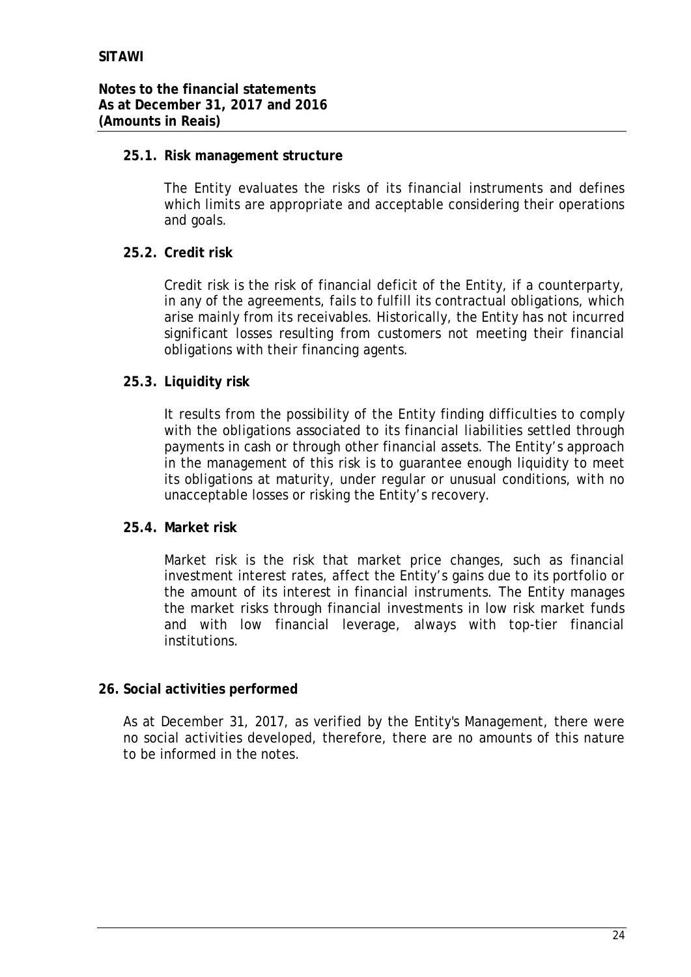**25.1. Risk management structure**

The Entity evaluates the risks of its financial instruments and defines which limits are appropriate and acceptable considering their operations and goals.

**25.2. Credit risk**

Credit risk is the risk of financial deficit of the Entity, if a counterparty, in any of the agreements, fails to fulfill its contractual obligations, which arise mainly from its receivables. Historically, the Entity has not incurred significant losses resulting from customers not meeting their financial obligations with their financing agents.

**25.3. Liquidity risk**

It results from the possibility of the Entity finding difficulties to comply with the obligations associated to its financial liabilities settled through payments in cash or through other financial assets. The Entity's approach in the management of this risk is to guarantee enough liquidity to meet its obligations at maturity, under regular or unusual conditions, with no unacceptable losses or risking the Entity's recovery.

**25.4. Market risk**

Market risk is the risk that market price changes, such as financial investment interest rates, affect the Entity's gains due to its portfolio or the amount of its interest in financial instruments. The Entity manages the market risks through financial investments in low risk market funds and with low financial leverage, always with top-tier financial institutions.

**26. Social activities performed**

As at December 31, 2017, as verified by the Entity's Management, there were no social activities developed, therefore, there are no amounts of this nature to be informed in the notes.